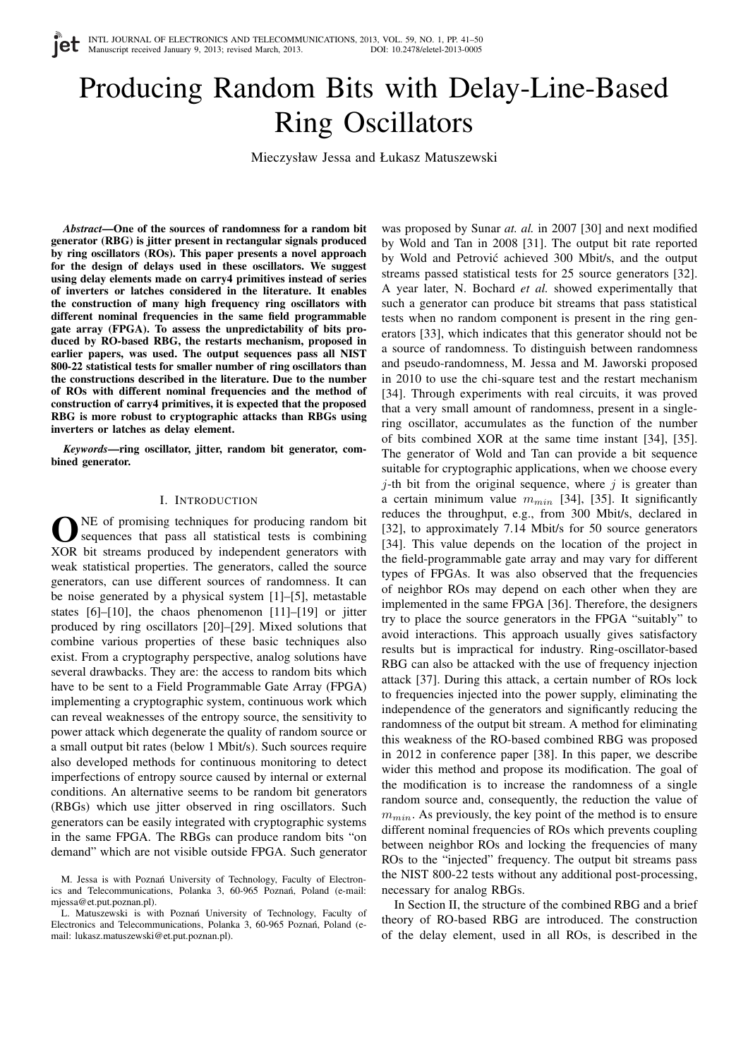# Producing Random Bits with Delay-Line-Based Ring Oscillators

Mieczysław Jessa and Łukasz Matuszewski

*Abstract***—One of the sources of randomness for a random bit generator (RBG) is jitter present in rectangular signals produced by ring oscillators (ROs). This paper presents a novel approach for the design of delays used in these oscillators. We suggest using delay elements made on carry4 primitives instead of series of inverters or latches considered in the literature. It enables the construction of many high frequency ring oscillators with different nominal frequencies in the same field programmable gate array (FPGA). To assess the unpredictability of bits produced by RO-based RBG, the restarts mechanism, proposed in earlier papers, was used. The output sequences pass all NIST 800-22 statistical tests for smaller number of ring oscillators than the constructions described in the literature. Due to the number of ROs with different nominal frequencies and the method of construction of carry4 primitives, it is expected that the proposed RBG is more robust to cryptographic attacks than RBGs using inverters or latches as delay element.**

*Keywords***—ring oscillator, jitter, random bit generator, combined generator.**

#### I. INTRODUCTION

**O** NE of promising techniques for producing random bit sequences that pass all statistical tests is combining XOR bit streams produced by independent generators with NE of promising techniques for producing random bit sequences that pass all statistical tests is combining weak statistical properties. The generators, called the source generators, can use different sources of randomness. It can be noise generated by a physical system [1]–[5], metastable states [6]–[10], the chaos phenomenon [11]–[19] or jitter produced by ring oscillators [20]–[29]. Mixed solutions that combine various properties of these basic techniques also exist. From a cryptography perspective, analog solutions have several drawbacks. They are: the access to random bits which have to be sent to a Field Programmable Gate Array (FPGA) implementing a cryptographic system, continuous work which can reveal weaknesses of the entropy source, the sensitivity to power attack which degenerate the quality of random source or a small output bit rates (below 1 Mbit/s). Such sources require also developed methods for continuous monitoring to detect imperfections of entropy source caused by internal or external conditions. An alternative seems to be random bit generators (RBGs) which use jitter observed in ring oscillators. Such generators can be easily integrated with cryptographic systems in the same FPGA. The RBGs can produce random bits "on demand" which are not visible outside FPGA. Such generator was proposed by Sunar *at. al.* in 2007 [30] and next modified by Wold and Tan in 2008 [31]. The output bit rate reported by Wold and Petrović achieved 300 Mbit/s, and the output streams passed statistical tests for 25 source generators [32]. A year later, N. Bochard *et al.* showed experimentally that such a generator can produce bit streams that pass statistical tests when no random component is present in the ring generators [33], which indicates that this generator should not be a source of randomness. To distinguish between randomness and pseudo-randomness, M. Jessa and M. Jaworski proposed in 2010 to use the chi-square test and the restart mechanism [34]. Through experiments with real circuits, it was proved that a very small amount of randomness, present in a singlering oscillator, accumulates as the function of the number of bits combined XOR at the same time instant [34], [35]. The generator of Wold and Tan can provide a bit sequence suitable for cryptographic applications, when we choose every  $j$ -th bit from the original sequence, where  $j$  is greater than a certain minimum value  $m_{min}$  [34], [35]. It significantly reduces the throughput, e.g., from 300 Mbit/s, declared in [32], to approximately 7.14 Mbit/s for 50 source generators [34]. This value depends on the location of the project in the field-programmable gate array and may vary for different types of FPGAs. It was also observed that the frequencies of neighbor ROs may depend on each other when they are implemented in the same FPGA [36]. Therefore, the designers try to place the source generators in the FPGA "suitably" to avoid interactions. This approach usually gives satisfactory results but is impractical for industry. Ring-oscillator-based RBG can also be attacked with the use of frequency injection attack [37]. During this attack, a certain number of ROs lock to frequencies injected into the power supply, eliminating the independence of the generators and significantly reducing the randomness of the output bit stream. A method for eliminating this weakness of the RO-based combined RBG was proposed in 2012 in conference paper [38]. In this paper, we describe wider this method and propose its modification. The goal of the modification is to increase the randomness of a single random source and, consequently, the reduction the value of  $m_{min}$ . As previously, the key point of the method is to ensure different nominal frequencies of ROs which prevents coupling between neighbor ROs and locking the frequencies of many ROs to the "injected" frequency. The output bit streams pass the NIST 800-22 tests without any additional post-processing, necessary for analog RBGs.

In Section II, the structure of the combined RBG and a brief theory of RO-based RBG are introduced. The construction of the delay element, used in all ROs, is described in the

M. Jessa is with Poznań University of Technology, Faculty of Electronics and Telecommunications, Polanka 3, 60-965 Poznań, Poland (e-mail: mjessa@et.put.poznan.pl).

L. Matuszewski is with Poznań University of Technology, Faculty of Electronics and Telecommunications, Polanka 3, 60-965 Poznań, Poland (email: lukasz.matuszewski@et.put.poznan.pl).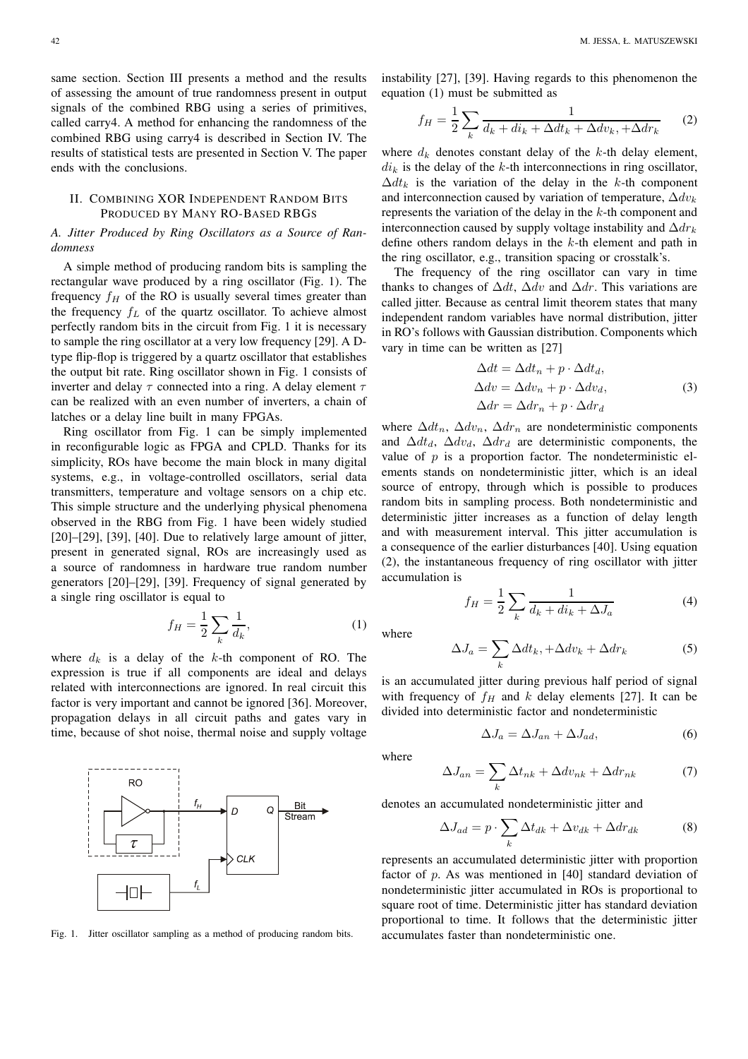same section. Section III presents a method and the results of assessing the amount of true randomness present in output signals of the combined RBG using a series of primitives, called carry4. A method for enhancing the randomness of the combined RBG using carry4 is described in Section IV. The results of statistical tests are presented in Section V. The paper ends with the conclusions.

# II. COMBINING XOR INDEPENDENT RANDOM BITS PRODUCED BY MANY RO-BASED RBGS

*A. Jitter Produced by Ring Oscillators as a Source of Randomness*

A simple method of producing random bits is sampling the rectangular wave produced by a ring oscillator (Fig. 1). The frequency  $f_H$  of the RO is usually several times greater than the frequency  $f_L$  of the quartz oscillator. To achieve almost perfectly random bits in the circuit from Fig. 1 it is necessary to sample the ring oscillator at a very low frequency [29]. A Dtype flip-flop is triggered by a quartz oscillator that establishes the output bit rate. Ring oscillator shown in Fig. 1 consists of inverter and delay  $\tau$  connected into a ring. A delay element  $\tau$ can be realized with an even number of inverters, a chain of latches or a delay line built in many FPGAs.

Ring oscillator from Fig. 1 can be simply implemented in reconfigurable logic as FPGA and CPLD. Thanks for its simplicity, ROs have become the main block in many digital systems, e.g., in voltage-controlled oscillators, serial data transmitters, temperature and voltage sensors on a chip etc. This simple structure and the underlying physical phenomena observed in the RBG from Fig. 1 have been widely studied [20]–[29], [39], [40]. Due to relatively large amount of jitter, present in generated signal, ROs are increasingly used as a source of randomness in hardware true random number generators [20]–[29], [39]. Frequency of signal generated by a single ring oscillator is equal to

$$
f_H = \frac{1}{2} \sum_{k} \frac{1}{d_k},
$$
 (1)

where  $d_k$  is a delay of the k-th component of RO. The expression is true if all components are ideal and delays related with interconnections are ignored. In real circuit this factor is very important and cannot be ignored [36]. Moreover, propagation delays in all circuit paths and gates vary in time, because of shot noise, thermal noise and supply voltage



Fig. 1. Jitter oscillator sampling as a method of producing random bits.

instability [27], [39]. Having regards to this phenomenon the equation (1) must be submitted as

$$
f_H = \frac{1}{2} \sum_k \frac{1}{d_k + di_k + \Delta dt_k + \Delta dv_k, +\Delta dr_k} \tag{2}
$$

where  $d_k$  denotes constant delay of the k-th delay element,  $di_k$  is the delay of the k-th interconnections in ring oscillator,  $\Delta dt_k$  is the variation of the delay in the k-th component and interconnection caused by variation of temperature,  $\Delta dv_k$ represents the variation of the delay in the  $k$ -th component and interconnection caused by supply voltage instability and  $\Delta dr_k$ define others random delays in the k-th element and path in the ring oscillator, e.g., transition spacing or crosstalk's.

The frequency of the ring oscillator can vary in time thanks to changes of  $\Delta dt$ ,  $\Delta dv$  and  $\Delta dr$ . This variations are called jitter. Because as central limit theorem states that many independent random variables have normal distribution, jitter in RO's follows with Gaussian distribution. Components which vary in time can be written as [27]

$$
\Delta dt = \Delta dt_n + p \cdot \Delta dt_d,
$$
  
\n
$$
\Delta dv = \Delta dv_n + p \cdot \Delta dv_d,
$$
  
\n
$$
\Delta dr = \Delta dr_n + p \cdot \Delta dr_d
$$
\n(3)

where  $\Delta dt_n$ ,  $\Delta dv_n$ ,  $\Delta dr_n$  are nondeterministic components and  $\Delta dt_d$ ,  $\Delta dv_d$ ,  $\Delta dr_d$  are deterministic components, the value of  $p$  is a proportion factor. The nondeterministic elements stands on nondeterministic jitter, which is an ideal source of entropy, through which is possible to produces random bits in sampling process. Both nondeterministic and deterministic jitter increases as a function of delay length and with measurement interval. This jitter accumulation is a consequence of the earlier disturbances [40]. Using equation (2), the instantaneous frequency of ring oscillator with jitter accumulation is

$$
f_H = \frac{1}{2} \sum_{k} \frac{1}{d_k + di_k + \Delta J_a}
$$
 (4)

where

$$
\Delta J_a = \sum_k \Delta dt_k, +\Delta dv_k + \Delta dr_k \tag{5}
$$

is an accumulated jitter during previous half period of signal with frequency of  $f_H$  and k delay elements [27]. It can be divided into deterministic factor and nondeterministic

$$
\Delta J_a = \Delta J_{an} + \Delta J_{ad},\tag{6}
$$

where

$$
\Delta J_{an} = \sum_{k} \Delta t_{nk} + \Delta dv_{nk} + \Delta dr_{nk} \tag{7}
$$

denotes an accumulated nondeterministic jitter and

$$
\Delta J_{ad} = p \cdot \sum_{k} \Delta t_{dk} + \Delta v_{dk} + \Delta dr_{dk} \tag{8}
$$

represents an accumulated deterministic jitter with proportion factor of p. As was mentioned in [40] standard deviation of nondeterministic jitter accumulated in ROs is proportional to square root of time. Deterministic jitter has standard deviation proportional to time. It follows that the deterministic jitter accumulates faster than nondeterministic one.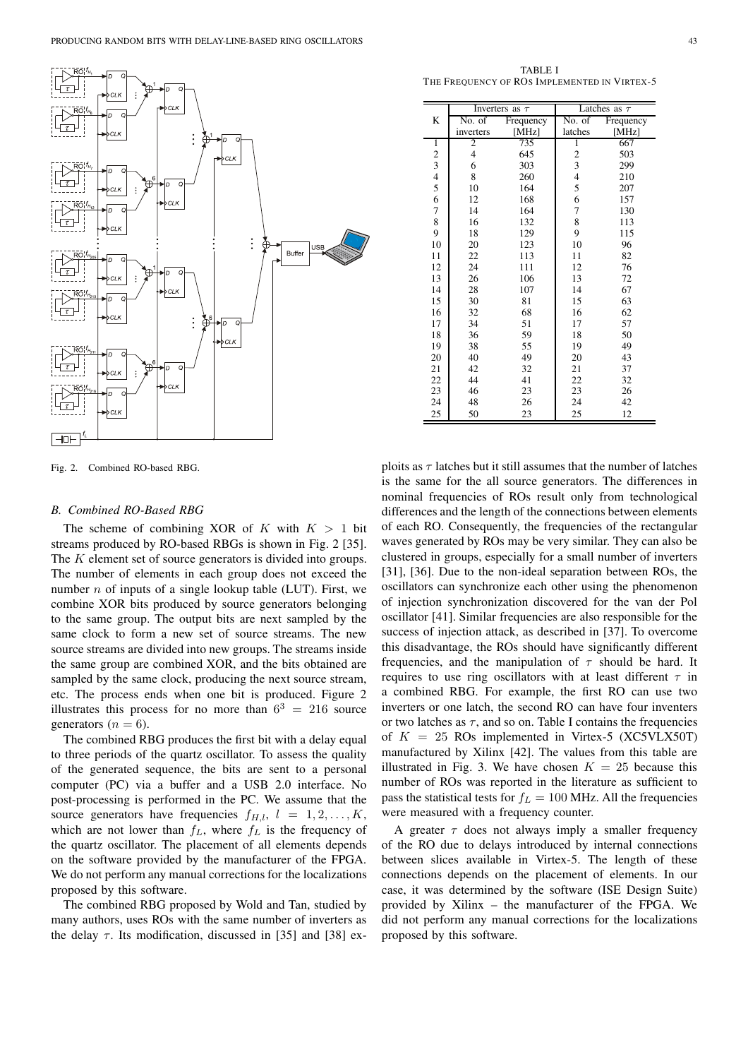

Fig. 2. Combined RO-based RBG.

#### *B. Combined RO-Based RBG*

The scheme of combining XOR of K with  $K > 1$  bit streams produced by RO-based RBGs is shown in Fig. 2 [35]. The K element set of source generators is divided into groups. The number of elements in each group does not exceed the number  $n$  of inputs of a single lookup table (LUT). First, we combine XOR bits produced by source generators belonging to the same group. The output bits are next sampled by the same clock to form a new set of source streams. The new source streams are divided into new groups. The streams inside the same group are combined XOR, and the bits obtained are sampled by the same clock, producing the next source stream, etc. The process ends when one bit is produced. Figure 2 illustrates this process for no more than  $6^3 = 216$  source generators ( $n = 6$ ).

The combined RBG produces the first bit with a delay equal to three periods of the quartz oscillator. To assess the quality of the generated sequence, the bits are sent to a personal computer (PC) via a buffer and a USB 2.0 interface. No post-processing is performed in the PC. We assume that the source generators have frequencies  $f_{H,l}$ ,  $l = 1, 2, \ldots, K$ , which are not lower than  $f_L$ , where  $f_L$  is the frequency of the quartz oscillator. The placement of all elements depends on the software provided by the manufacturer of the FPGA. We do not perform any manual corrections for the localizations proposed by this software.

The combined RBG proposed by Wold and Tan, studied by many authors, uses ROs with the same number of inverters as the delay  $\tau$ . Its modification, discussed in [35] and [38] ex-

TABLE I THE FREQUENCY OF ROS IMPLEMENTED IN VIRTEX-5

|                                                 | Inverters as $\tau$ |           | Latches as $\tau$       |           |  |
|-------------------------------------------------|---------------------|-----------|-------------------------|-----------|--|
| K                                               | No. of              | Frequency | No. of                  | Frequency |  |
|                                                 | inverters           | [ $MHz$ ] | latches                 | [MHz]     |  |
| 1                                               | 2                   | 735       | 1                       | 667       |  |
|                                                 | $\overline{4}$      | 645       | $\overline{\mathbf{c}}$ | 503       |  |
|                                                 | 6                   | 303       | 3                       | 299       |  |
| $\begin{array}{c} 2 \\ 3 \\ 4 \\ 5 \end{array}$ | 8                   | 260       | $\overline{4}$          | 210       |  |
|                                                 | 10                  | 164       | 5                       | 207       |  |
| 6                                               | 12                  | 168       | 6                       | 157       |  |
| 7                                               | 14                  | 164       | 7                       | 130       |  |
| 8                                               | 16                  | 132       | 8                       | 113       |  |
| 9                                               | 18                  | 129       | 9                       | 115       |  |
| 10                                              | 20                  | 123       | 10                      | 96        |  |
| 11                                              | 22                  | 113       | 11                      | 82        |  |
| 12                                              | 24                  | 111       | 12                      | 76        |  |
| 13                                              | 26                  | 106       | 13                      | 72        |  |
| 14                                              | 28                  | 107       | 14                      | 67        |  |
| 15                                              | 30                  | 81        | 15                      | 63        |  |
| 16                                              | 32                  | 68        | 16                      | 62        |  |
| 17                                              | 34                  | 51        | 17                      | 57        |  |
| 18                                              | 36                  | 59        | 18                      | 50        |  |
| 19                                              | 38                  | 55        | 19                      | 49        |  |
| 20                                              | 40                  | 49        | 20                      | 43        |  |
| 21                                              | 42                  | 32        | 21                      | 37        |  |
| 22                                              | 44                  | 41        | 22                      | 32        |  |
| 23                                              | 46                  | 23        | 23                      | 26        |  |
| 24                                              | 48                  | 26        | 24                      | 42        |  |
| 25                                              | 50                  | 23        | 25                      | 12        |  |

ploits as  $\tau$  latches but it still assumes that the number of latches is the same for the all source generators. The differences in nominal frequencies of ROs result only from technological differences and the length of the connections between elements of each RO. Consequently, the frequencies of the rectangular waves generated by ROs may be very similar. They can also be clustered in groups, especially for a small number of inverters [31], [36]. Due to the non-ideal separation between ROs, the oscillators can synchronize each other using the phenomenon of injection synchronization discovered for the van der Pol oscillator [41]. Similar frequencies are also responsible for the success of injection attack, as described in [37]. To overcome this disadvantage, the ROs should have significantly different frequencies, and the manipulation of  $\tau$  should be hard. It requires to use ring oscillators with at least different  $\tau$  in a combined RBG. For example, the first RO can use two inverters or one latch, the second RO can have four inventers or two latches as  $\tau$ , and so on. Table I contains the frequencies of  $K = 25$  ROs implemented in Virtex-5 (XC5VLX50T) manufactured by Xilinx [42]. The values from this table are illustrated in Fig. 3. We have chosen  $K = 25$  because this number of ROs was reported in the literature as sufficient to pass the statistical tests for  $f_L = 100$  MHz. All the frequencies were measured with a frequency counter.

A greater  $\tau$  does not always imply a smaller frequency of the RO due to delays introduced by internal connections between slices available in Virtex-5. The length of these connections depends on the placement of elements. In our case, it was determined by the software (ISE Design Suite) provided by Xilinx – the manufacturer of the FPGA. We did not perform any manual corrections for the localizations proposed by this software.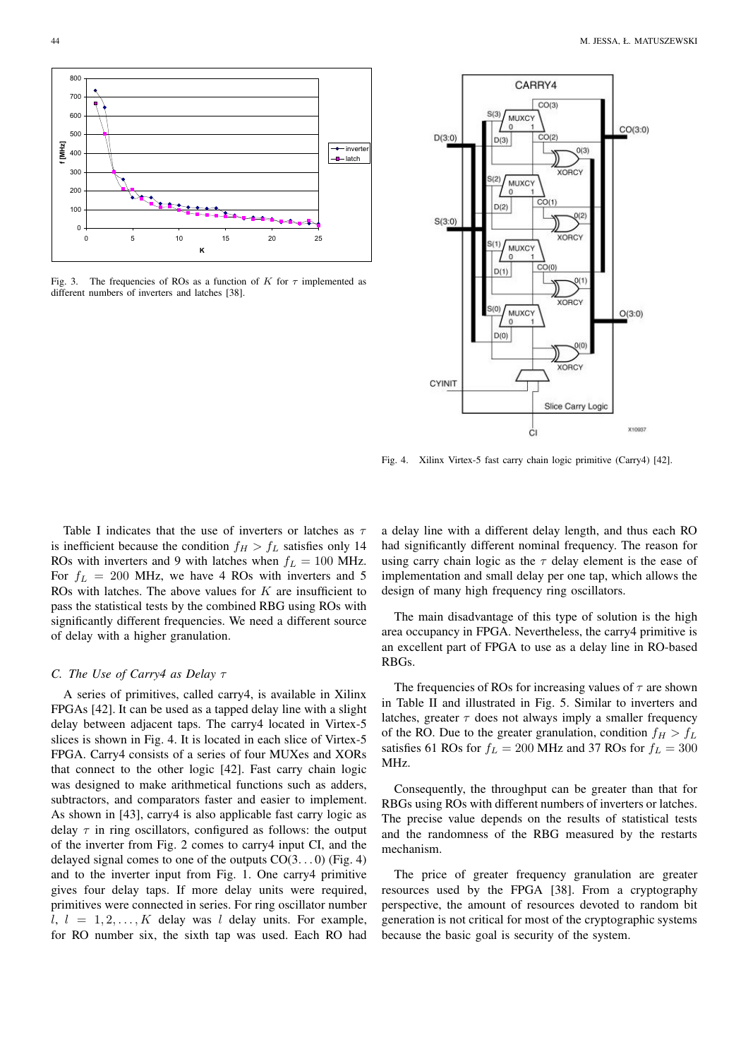

Fig. 3. The frequencies of ROs as a function of K for  $\tau$  implemented as different numbers of inverters and latches [38].



Fig. 4. Xilinx Virtex-5 fast carry chain logic primitive (Carry4) [42].

Table I indicates that the use of inverters or latches as  $\tau$ is inefficient because the condition  $f_H > f_L$  satisfies only 14 ROs with inverters and 9 with latches when  $f<sub>L</sub> = 100$  MHz. For  $f_L = 200$  MHz, we have 4 ROs with inverters and 5 ROs with latches. The above values for  $K$  are insufficient to pass the statistical tests by the combined RBG using ROs with significantly different frequencies. We need a different source of delay with a higher granulation.

#### *C. The Use of Carry4 as Delay* τ

A series of primitives, called carry4, is available in Xilinx FPGAs [42]. It can be used as a tapped delay line with a slight delay between adjacent taps. The carry4 located in Virtex-5 slices is shown in Fig. 4. It is located in each slice of Virtex-5 FPGA. Carry4 consists of a series of four MUXes and XORs that connect to the other logic [42]. Fast carry chain logic was designed to make arithmetical functions such as adders, subtractors, and comparators faster and easier to implement. As shown in [43], carry4 is also applicable fast carry logic as delay  $\tau$  in ring oscillators, configured as follows: the output of the inverter from Fig. 2 comes to carry4 input CI, and the delayed signal comes to one of the outputs  $CO(3...0)$  (Fig. 4) and to the inverter input from Fig. 1. One carry4 primitive gives four delay taps. If more delay units were required, primitives were connected in series. For ring oscillator number  $l, l = 1, 2, \ldots, K$  delay was l delay units. For example, for RO number six, the sixth tap was used. Each RO had a delay line with a different delay length, and thus each RO had significantly different nominal frequency. The reason for using carry chain logic as the  $\tau$  delay element is the ease of implementation and small delay per one tap, which allows the design of many high frequency ring oscillators.

The main disadvantage of this type of solution is the high area occupancy in FPGA. Nevertheless, the carry4 primitive is an excellent part of FPGA to use as a delay line in RO-based RBGs.

The frequencies of ROs for increasing values of  $\tau$  are shown in Table II and illustrated in Fig. 5. Similar to inverters and latches, greater  $\tau$  does not always imply a smaller frequency of the RO. Due to the greater granulation, condition  $f_H > f_L$ satisfies 61 ROs for  $f_L = 200$  MHz and 37 ROs for  $f_L = 300$ MHz.

Consequently, the throughput can be greater than that for RBGs using ROs with different numbers of inverters or latches. The precise value depends on the results of statistical tests and the randomness of the RBG measured by the restarts mechanism.

The price of greater frequency granulation are greater resources used by the FPGA [38]. From a cryptography perspective, the amount of resources devoted to random bit generation is not critical for most of the cryptographic systems because the basic goal is security of the system.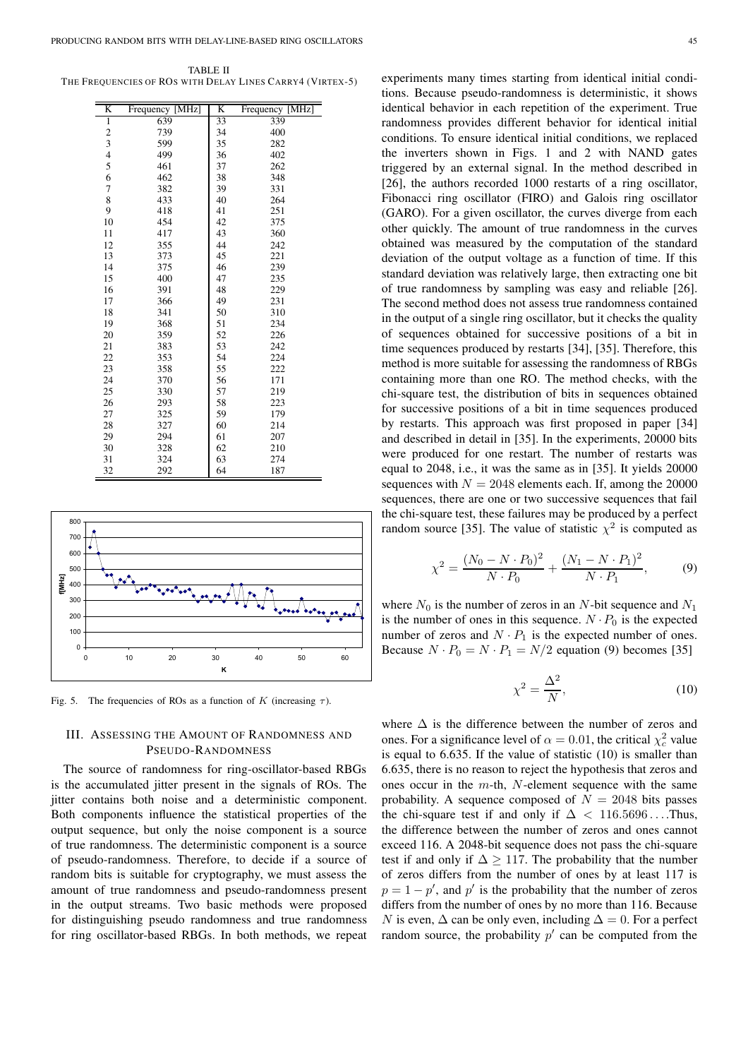TABLE II THE FREQUENCIES OF ROS WITH DELAY LINES CARRY4 (VIRTEX-5)

| K                       | Frequency [MHz] | K  | Frequency [MHz] |
|-------------------------|-----------------|----|-----------------|
| 1                       | 639             | 33 | 339             |
|                         | 739             | 34 | 400             |
| $\frac{2}{3}$           | 599             | 35 | 282             |
| $\overline{\mathbf{4}}$ | 499             | 36 | 402             |
| 5                       | 461             | 37 | 262             |
| 6                       | 462             | 38 | 348             |
| 7                       | 382             | 39 | 331             |
| 8                       | 433             | 40 | 264             |
| 9                       | 418             | 41 | 251             |
| 10                      | 454             | 42 | 375             |
| 11                      | 417             | 43 | 360             |
| 12                      | 355             | 44 | 242             |
| 13                      | 373             | 45 | 221             |
| 14                      | 375             | 46 | 239             |
| 15                      | 400             | 47 | 235             |
| 16                      | 391             | 48 | 229             |
| 17                      | 366             | 49 | 231             |
| 18                      | 341             | 50 | 310             |
| 19                      | 368             | 51 | 234             |
| 20                      | 359             | 52 | 226             |
| 21                      | 383             | 53 | 242             |
| 22                      | 353             | 54 | 224             |
| 23                      | 358             | 55 | 222             |
| 24                      | 370             | 56 | 171             |
| 25                      | 330             | 57 | 219             |
| 26                      | 293             | 58 | 223             |
| 27                      | 325             | 59 | 179             |
| 28                      | 327             | 60 | 214             |
| 29                      | 294             | 61 | 207             |
| 30                      | 328             | 62 | 210             |
| 31                      | 324             | 63 | 274             |
| 32                      | 292             | 64 | 187             |



Fig. 5. The frequencies of ROs as a function of K (increasing  $\tau$ ).

# III. ASSESSING THE AMOUNT OF RANDOMNESS AND PSEUDO-RANDOMNESS

The source of randomness for ring-oscillator-based RBGs is the accumulated jitter present in the signals of ROs. The jitter contains both noise and a deterministic component. Both components influence the statistical properties of the output sequence, but only the noise component is a source of true randomness. The deterministic component is a source of pseudo-randomness. Therefore, to decide if a source of random bits is suitable for cryptography, we must assess the amount of true randomness and pseudo-randomness present in the output streams. Two basic methods were proposed for distinguishing pseudo randomness and true randomness for ring oscillator-based RBGs. In both methods, we repeat experiments many times starting from identical initial conditions. Because pseudo-randomness is deterministic, it shows identical behavior in each repetition of the experiment. True randomness provides different behavior for identical initial conditions. To ensure identical initial conditions, we replaced the inverters shown in Figs. 1 and 2 with NAND gates triggered by an external signal. In the method described in [26], the authors recorded 1000 restarts of a ring oscillator, Fibonacci ring oscillator (FIRO) and Galois ring oscillator (GARO). For a given oscillator, the curves diverge from each other quickly. The amount of true randomness in the curves obtained was measured by the computation of the standard deviation of the output voltage as a function of time. If this standard deviation was relatively large, then extracting one bit of true randomness by sampling was easy and reliable [26]. The second method does not assess true randomness contained in the output of a single ring oscillator, but it checks the quality of sequences obtained for successive positions of a bit in time sequences produced by restarts [34], [35]. Therefore, this method is more suitable for assessing the randomness of RBGs containing more than one RO. The method checks, with the chi-square test, the distribution of bits in sequences obtained for successive positions of a bit in time sequences produced by restarts. This approach was first proposed in paper [34] and described in detail in [35]. In the experiments, 20000 bits were produced for one restart. The number of restarts was equal to 2048, i.e., it was the same as in [35]. It yields 20000 sequences with  $N = 2048$  elements each. If, among the 20000 sequences, there are one or two successive sequences that fail the chi-square test, these failures may be produced by a perfect random source [35]. The value of statistic  $\chi^2$  is computed as

$$
\chi^2 = \frac{(N_0 - N \cdot P_0)^2}{N \cdot P_0} + \frac{(N_1 - N \cdot P_1)^2}{N \cdot P_1},\tag{9}
$$

where  $N_0$  is the number of zeros in an N-bit sequence and  $N_1$ is the number of ones in this sequence.  $N \cdot P_0$  is the expected number of zeros and  $N \cdot P_1$  is the expected number of ones. Because  $N \cdot P_0 = N \cdot P_1 = N/2$  equation (9) becomes [35]

$$
\chi^2 = \frac{\Delta^2}{N},\tag{10}
$$

where  $\Delta$  is the difference between the number of zeros and ones. For a significance level of  $\alpha = 0.01$ , the critical  $\chi_c^2$  value is equal to 6.635. If the value of statistic (10) is smaller than 6.635, there is no reason to reject the hypothesis that zeros and ones occur in the  $m$ -th,  $N$ -element sequence with the same probability. A sequence composed of  $N = 2048$  bits passes the chi-square test if and only if  $\Delta$  < 116.5696....Thus, the difference between the number of zeros and ones cannot exceed 116. A 2048-bit sequence does not pass the chi-square test if and only if  $\Delta \geq 117$ . The probability that the number of zeros differs from the number of ones by at least 117 is  $p = 1 - p'$ , and p' is the probability that the number of zeros differs from the number of ones by no more than 116. Because N is even,  $\Delta$  can be only even, including  $\Delta = 0$ . For a perfect random source, the probability  $p'$  can be computed from the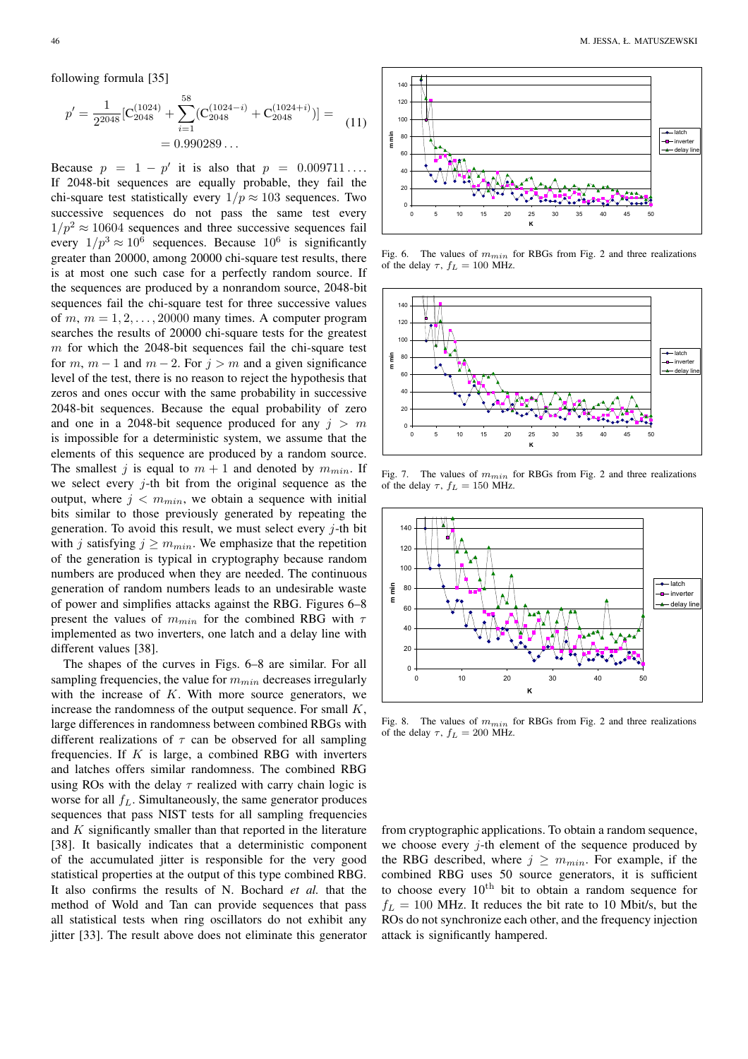following formula [35]

$$
p' = \frac{1}{2^{2048}} \left[ C_{2048}^{(1024)} + \sum_{i=1}^{58} (C_{2048}^{(1024-i)} + C_{2048}^{(1024+i)}) \right] = 0.990289\dots
$$
\n(11)

Because  $p = 1 - p'$  it is also that  $p = 0.009711...$ If 2048-bit sequences are equally probable, they fail the chi-square test statistically every  $1/p \approx 103$  sequences. Two successive sequences do not pass the same test every  $1/p^2 \approx 10604$  sequences and three successive sequences fail every  $1/p^3 \approx 10^6$  sequences. Because  $10^6$  is significantly greater than 20000, among 20000 chi-square test results, there is at most one such case for a perfectly random source. If the sequences are produced by a nonrandom source, 2048-bit sequences fail the chi-square test for three successive values of  $m, m = 1, 2, \ldots, 20000$  many times. A computer program searches the results of 20000 chi-square tests for the greatest  $m$  for which the 2048-bit sequences fail the chi-square test for m,  $m - 1$  and  $m - 2$ . For  $j > m$  and a given significance level of the test, there is no reason to reject the hypothesis that zeros and ones occur with the same probability in successive 2048-bit sequences. Because the equal probability of zero and one in a 2048-bit sequence produced for any  $j > m$ is impossible for a deterministic system, we assume that the elements of this sequence are produced by a random source. The smallest j is equal to  $m + 1$  and denoted by  $m_{min}$ . If we select every  $j$ -th bit from the original sequence as the output, where  $j < m_{min}$ , we obtain a sequence with initial bits similar to those previously generated by repeating the generation. To avoid this result, we must select every  $j$ -th bit with j satisfying  $j \geq m_{min}$ . We emphasize that the repetition of the generation is typical in cryptography because random numbers are produced when they are needed. The continuous generation of random numbers leads to an undesirable waste of power and simplifies attacks against the RBG. Figures 6–8 present the values of  $m_{min}$  for the combined RBG with  $\tau$ implemented as two inverters, one latch and a delay line with different values [38].

The shapes of the curves in Figs. 6–8 are similar. For all sampling frequencies, the value for  $m_{min}$  decreases irregularly with the increase of  $K$ . With more source generators, we increase the randomness of the output sequence. For small  $K$ , large differences in randomness between combined RBGs with different realizations of  $\tau$  can be observed for all sampling frequencies. If  $K$  is large, a combined RBG with inverters and latches offers similar randomness. The combined RBG using ROs with the delay  $\tau$  realized with carry chain logic is worse for all  $f_L$ . Simultaneously, the same generator produces sequences that pass NIST tests for all sampling frequencies and K significantly smaller than that reported in the literature [38]. It basically indicates that a deterministic component of the accumulated jitter is responsible for the very good statistical properties at the output of this type combined RBG. It also confirms the results of N. Bochard *et al.* that the method of Wold and Tan can provide sequences that pass all statistical tests when ring oscillators do not exhibit any jitter [33]. The result above does not eliminate this generator



Fig. 6. The values of  $m_{min}$  for RBGs from Fig. 2 and three realizations of the delay  $\tau$ ,  $f_L = 100$  MHz.



Fig. 7. The values of  $m_{min}$  for RBGs from Fig. 2 and three realizations of the delay  $\tau$ ,  $f_L = 150$  MHz.



Fig. 8. The values of  $m_{min}$  for RBGs from Fig. 2 and three realizations of the delay  $\tau$ ,  $f_L = 200$  MHz.

from cryptographic applications. To obtain a random sequence, we choose every  $j$ -th element of the sequence produced by the RBG described, where  $j \geq m_{min}$ . For example, if the combined RBG uses 50 source generators, it is sufficient to choose every  $10^{th}$  bit to obtain a random sequence for  $f_L = 100$  MHz. It reduces the bit rate to 10 Mbit/s, but the ROs do not synchronize each other, and the frequency injection attack is significantly hampered.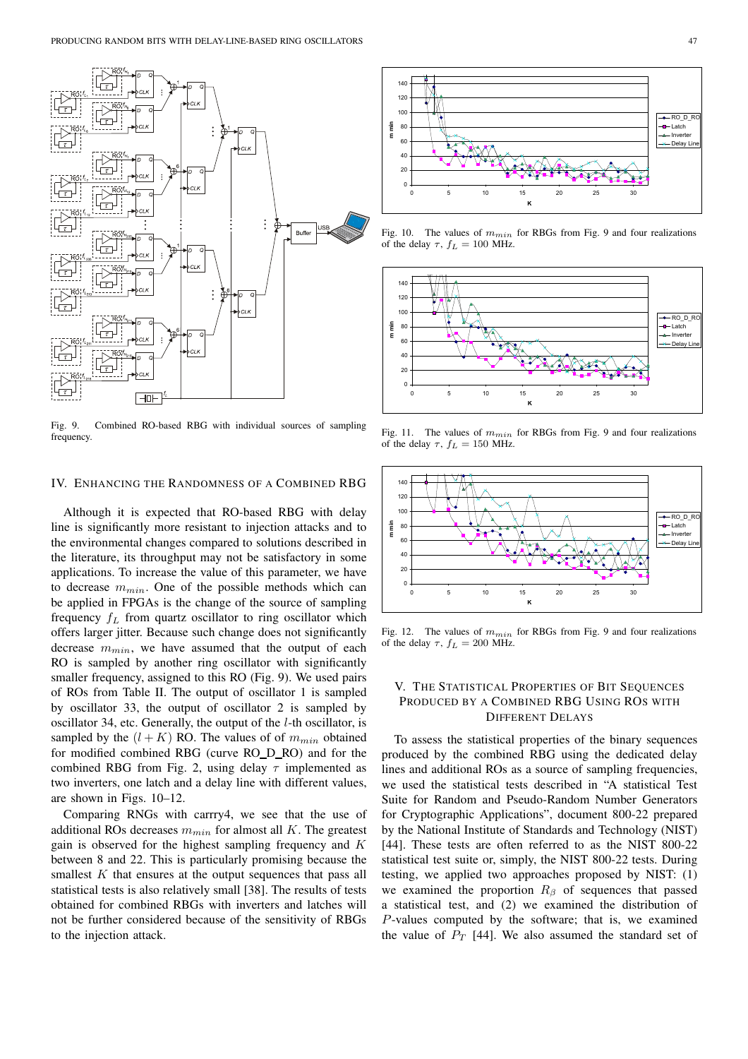

Fig. 9. Combined RO-based RBG with individual sources of sampling frequency.

### IV. ENHANCING THE RANDOMNESS OF A COMBINED RBG

Although it is expected that RO-based RBG with delay line is significantly more resistant to injection attacks and to the environmental changes compared to solutions described in the literature, its throughput may not be satisfactory in some applications. To increase the value of this parameter, we have to decrease  $m_{min}$ . One of the possible methods which can be applied in FPGAs is the change of the source of sampling frequency  $f_L$  from quartz oscillator to ring oscillator which offers larger jitter. Because such change does not significantly decrease  $m_{min}$ , we have assumed that the output of each RO is sampled by another ring oscillator with significantly smaller frequency, assigned to this RO (Fig. 9). We used pairs of ROs from Table II. The output of oscillator 1 is sampled by oscillator 33, the output of oscillator 2 is sampled by oscillator 34, etc. Generally, the output of the l-th oscillator, is sampled by the  $(l + K)$  RO. The values of of  $m_{min}$  obtained for modified combined RBG (curve RO\_D\_RO) and for the combined RBG from Fig. 2, using delay  $\tau$  implemented as two inverters, one latch and a delay line with different values, are shown in Figs. 10–12.

Comparing RNGs with carrry4, we see that the use of additional ROs decreases  $m_{min}$  for almost all K. The greatest gain is observed for the highest sampling frequency and  $K$ between 8 and 22. This is particularly promising because the smallest  $K$  that ensures at the output sequences that pass all statistical tests is also relatively small [38]. The results of tests obtained for combined RBGs with inverters and latches will not be further considered because of the sensitivity of RBGs to the injection attack.



Fig. 10. The values of  $m_{min}$  for RBGs from Fig. 9 and four realizations of the delay  $\tau$ ,  $f_L = 100$  MHz.



Fig. 11. The values of  $m_{min}$  for RBGs from Fig. 9 and four realizations of the delay  $\tau$ ,  $f_L = 150$  MHz.



Fig. 12. The values of  $m_{min}$  for RBGs from Fig. 9 and four realizations of the delay  $\tau$ ,  $f_L = 200$  MHz.

# V. THE STATISTICAL PROPERTIES OF BIT SEQUENCES PRODUCED BY A COMBINED RBG USING ROS WITH DIFFERENT DELAYS

To assess the statistical properties of the binary sequences produced by the combined RBG using the dedicated delay lines and additional ROs as a source of sampling frequencies, we used the statistical tests described in "A statistical Test Suite for Random and Pseudo-Random Number Generators for Cryptographic Applications", document 800-22 prepared by the National Institute of Standards and Technology (NIST) [44]. These tests are often referred to as the NIST 800-22 statistical test suite or, simply, the NIST 800-22 tests. During testing, we applied two approaches proposed by NIST: (1) we examined the proportion  $R_\beta$  of sequences that passed a statistical test, and (2) we examined the distribution of P-values computed by the software; that is, we examined the value of  $P_T$  [44]. We also assumed the standard set of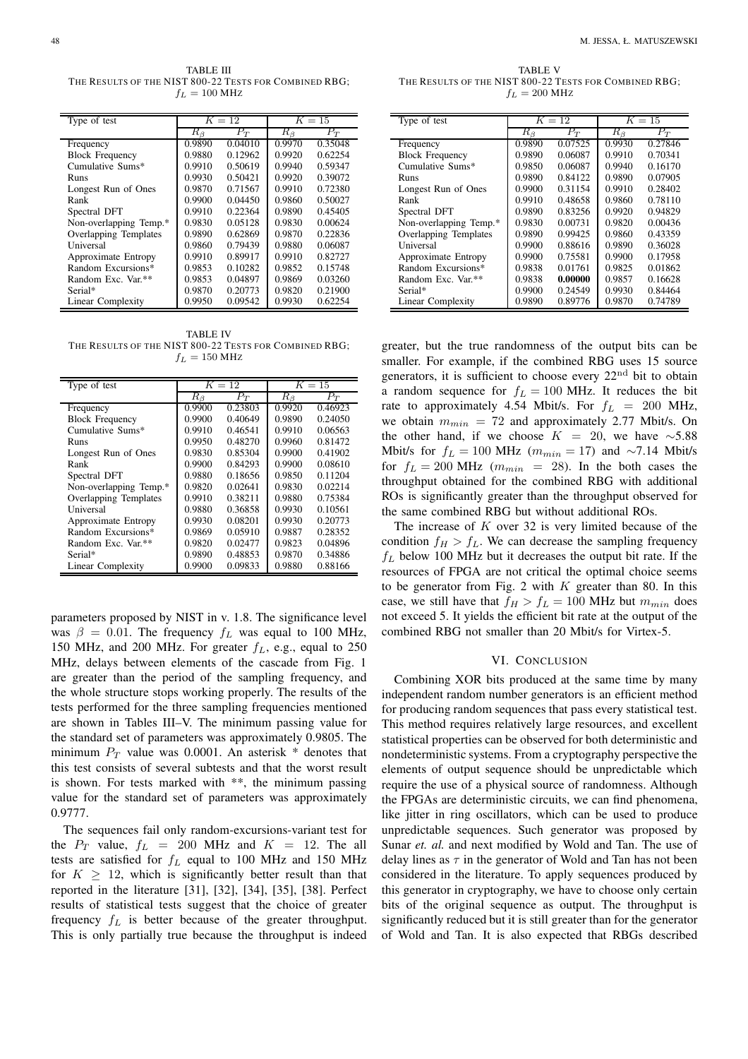TABLE III THE RESULTS OF THE NIST 800-22 TESTS FOR COMBINED RBG;  $f_L = 100$  MHz

| Type of test           | $K=12$      |         | $K=15$      |         |
|------------------------|-------------|---------|-------------|---------|
|                        | $R_{\beta}$ | $P_T$   | $R_{\beta}$ | $P_T$   |
| Frequency              | 0.9890      | 0.04010 | 0.9970      | 0.35048 |
| <b>Block Frequency</b> | 0.9880      | 0.12962 | 0.9920      | 0.62254 |
| Cumulative Sums*       | 0.9910      | 0.50619 | 0.9940      | 0.59347 |
| Runs                   | 0.9930      | 0.50421 | 0.9920      | 0.39072 |
| Longest Run of Ones    | 0.9870      | 0.71567 | 0.9910      | 0.72380 |
| Rank                   | 0.9900      | 0.04450 | 0.9860      | 0.50027 |
| Spectral DFT           | 0.9910      | 0.22364 | 0.9890      | 0.45405 |
| Non-overlapping Temp.* | 0.9830      | 0.05128 | 0.9830      | 0.00624 |
| Overlapping Templates  | 0.9890      | 0.62869 | 0.9870      | 0.22836 |
| Universal              | 0.9860      | 0.79439 | 0.9880      | 0.06087 |
| Approximate Entropy    | 0.9910      | 0.89917 | 0.9910      | 0.82727 |
| Random Excursions*     | 0.9853      | 0.10282 | 0.9852      | 0.15748 |
| Random Exc. Var.**     | 0.9853      | 0.04897 | 0.9869      | 0.03260 |
| Serial*                | 0.9870      | 0.20773 | 0.9820      | 0.21900 |
| Linear Complexity      | 0.9950      | 0.09542 | 0.9930      | 0.62254 |

TABLE IV THE RESULTS OF THE NIST 800-22 TESTS FOR COMBINED RBG;  $f_L = 150$  MHz

| Type of test           | $K=12$      |         | $K=15$      |         |
|------------------------|-------------|---------|-------------|---------|
|                        | $R_{\beta}$ | $P_T$   | $R_{\beta}$ | $P_T$   |
| Frequency              | 0.9900      | 0.23803 | 0.9920      | 0.46923 |
| <b>Block Frequency</b> | 0.9900      | 0.40649 | 0.9890      | 0.24050 |
| Cumulative Sums*       | 0.9910      | 0.46541 | 0.9910      | 0.06563 |
| Runs                   | 0.9950      | 0.48270 | 0.9960      | 0.81472 |
| Longest Run of Ones    | 0.9830      | 0.85304 | 0.9900      | 0.41902 |
| Rank                   | 0.9900      | 0.84293 | 0.9900      | 0.08610 |
| Spectral DFT           | 0.9880      | 0.18656 | 0.9850      | 0.11204 |
| Non-overlapping Temp.* | 0.9820      | 0.02641 | 0.9830      | 0.02214 |
| Overlapping Templates  | 0.9910      | 0.38211 | 0.9880      | 0.75384 |
| Universal              | 0.9880      | 0.36858 | 0.9930      | 0.10561 |
| Approximate Entropy    | 0.9930      | 0.08201 | 0.9930      | 0.20773 |
| Random Excursions*     | 0.9869      | 0.05910 | 0.9887      | 0.28352 |
| Random Exc. Var.**     | 0.9820      | 0.02477 | 0.9823      | 0.04896 |
| Serial*                | 0.9890      | 0.48853 | 0.9870      | 0.34886 |
| Linear Complexity      | 0.9900      | 0.09833 | 0.9880      | 0.88166 |

parameters proposed by NIST in v. 1.8. The significance level was  $\beta = 0.01$ . The frequency  $f<sub>L</sub>$  was equal to 100 MHz, 150 MHz, and 200 MHz. For greater  $f_L$ , e.g., equal to 250 MHz, delays between elements of the cascade from Fig. 1 are greater than the period of the sampling frequency, and the whole structure stops working properly. The results of the tests performed for the three sampling frequencies mentioned are shown in Tables III–V. The minimum passing value for the standard set of parameters was approximately 0.9805. The minimum  $P_T$  value was 0.0001. An asterisk \* denotes that this test consists of several subtests and that the worst result is shown. For tests marked with \*\*, the minimum passing value for the standard set of parameters was approximately 0.9777.

The sequences fail only random-excursions-variant test for the  $P_T$  value,  $f_L = 200$  MHz and  $K = 12$ . The all tests are satisfied for  $f_L$  equal to 100 MHz and 150 MHz for  $K \geq 12$ , which is significantly better result than that reported in the literature [31], [32], [34], [35], [38]. Perfect results of statistical tests suggest that the choice of greater frequency  $f_L$  is better because of the greater throughput. This is only partially true because the throughput is indeed

TABLE V THE RESULTS OF THE NIST 800-22 TESTS FOR COMBINED RBG;  $f_L = 200$  MHz

| Type of test                 | $K=12$      |         |             | $K=15$  |
|------------------------------|-------------|---------|-------------|---------|
|                              | $R_{\beta}$ | $P_T$   | $R_{\beta}$ | $P_T$   |
| Frequency                    | 0.9890      | 0.07525 | 0.9930      | 0.27846 |
| <b>Block Frequency</b>       | 0.9890      | 0.06087 | 0.9910      | 0.70341 |
| Cumulative Sums*             | 0.9850      | 0.06087 | 0.9940      | 0.16170 |
| Runs                         | 0.9890      | 0.84122 | 0.9890      | 0.07905 |
| Longest Run of Ones          | 0.9900      | 0.31154 | 0.9910      | 0.28402 |
| Rank                         | 0.9910      | 0.48658 | 0.9860      | 0.78110 |
| Spectral DFT                 | 0.9890      | 0.83256 | 0.9920      | 0.94829 |
| Non-overlapping Temp.*       | 0.9830      | 0.00731 | 0.9820      | 0.00436 |
| <b>Overlapping Templates</b> | 0.9890      | 0.99425 | 0.9860      | 0.43359 |
| Universal                    | 0.9900      | 0.88616 | 0.9890      | 0.36028 |
| Approximate Entropy          | 0.9900      | 0.75581 | 0.9900      | 0.17958 |
| Random Excursions*           | 0.9838      | 0.01761 | 0.9825      | 0.01862 |
| Random Exc. Var.**           | 0.9838      | 0.00000 | 0.9857      | 0.16628 |
| Serial*                      | 0.9900      | 0.24549 | 0.9930      | 0.84464 |
| Linear Complexity            | 0.9890      | 0.89776 | 0.9870      | 0.74789 |

greater, but the true randomness of the output bits can be smaller. For example, if the combined RBG uses 15 source generators, it is sufficient to choose every  $22<sup>nd</sup>$  bit to obtain a random sequence for  $f_L = 100$  MHz. It reduces the bit rate to approximately 4.54 Mbit/s. For  $f_L$  = 200 MHz, we obtain  $m_{min} = 72$  and approximately 2.77 Mbit/s. On the other hand, if we choose  $K = 20$ , we have ~5.88 Mbit/s for  $f_L = 100$  MHz ( $m_{min} = 17$ ) and ~7.14 Mbit/s for  $f_L = 200 \text{ MHz}$  ( $m_{min} = 28$ ). In the both cases the throughput obtained for the combined RBG with additional ROs is significantly greater than the throughput observed for the same combined RBG but without additional ROs.

The increase of  $K$  over 32 is very limited because of the condition  $f_H > f_L$ . We can decrease the sampling frequency  $f_L$  below 100 MHz but it decreases the output bit rate. If the resources of FPGA are not critical the optimal choice seems to be generator from Fig. 2 with  $K$  greater than 80. In this case, we still have that  $f_H > f_L = 100$  MHz but  $m_{min}$  does not exceed 5. It yields the efficient bit rate at the output of the combined RBG not smaller than 20 Mbit/s for Virtex-5.

#### VI. CONCLUSION

Combining XOR bits produced at the same time by many independent random number generators is an efficient method for producing random sequences that pass every statistical test. This method requires relatively large resources, and excellent statistical properties can be observed for both deterministic and nondeterministic systems. From a cryptography perspective the elements of output sequence should be unpredictable which require the use of a physical source of randomness. Although the FPGAs are deterministic circuits, we can find phenomena, like jitter in ring oscillators, which can be used to produce unpredictable sequences. Such generator was proposed by Sunar *et. al.* and next modified by Wold and Tan. The use of delay lines as  $\tau$  in the generator of Wold and Tan has not been considered in the literature. To apply sequences produced by this generator in cryptography, we have to choose only certain bits of the original sequence as output. The throughput is significantly reduced but it is still greater than for the generator of Wold and Tan. It is also expected that RBGs described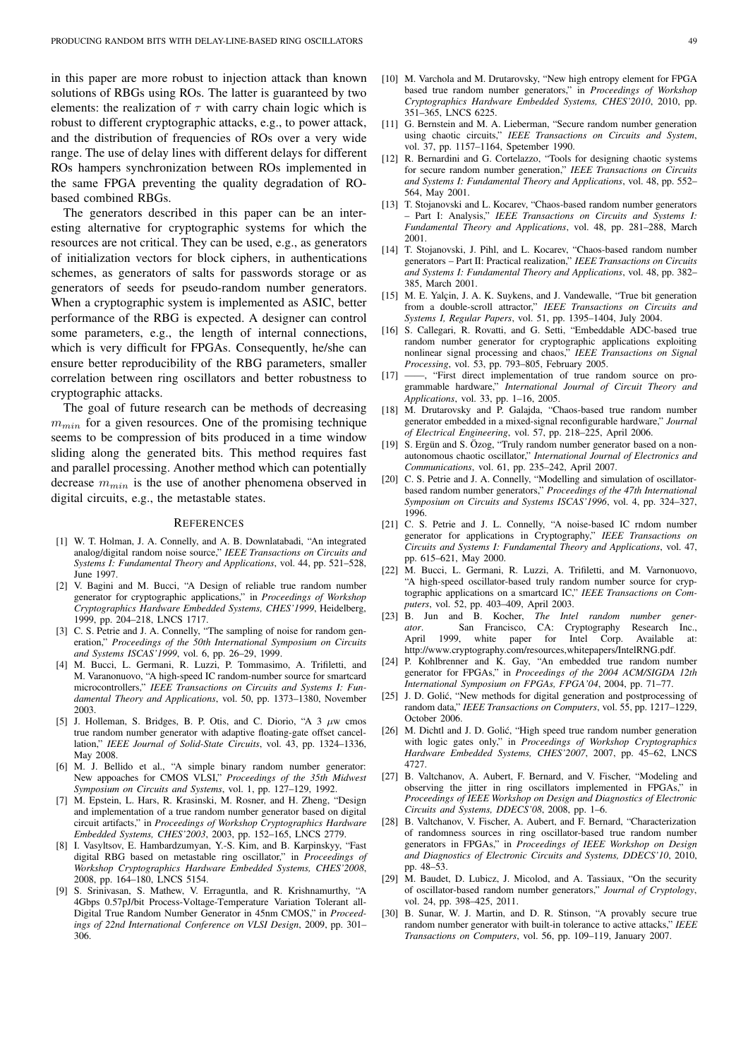in this paper are more robust to injection attack than known solutions of RBGs using ROs. The latter is guaranteed by two elements: the realization of  $\tau$  with carry chain logic which is robust to different cryptographic attacks, e.g., to power attack, and the distribution of frequencies of ROs over a very wide range. The use of delay lines with different delays for different ROs hampers synchronization between ROs implemented in the same FPGA preventing the quality degradation of RObased combined RBGs.

The generators described in this paper can be an interesting alternative for cryptographic systems for which the resources are not critical. They can be used, e.g., as generators of initialization vectors for block ciphers, in authentications schemes, as generators of salts for passwords storage or as generators of seeds for pseudo-random number generators. When a cryptographic system is implemented as ASIC, better performance of the RBG is expected. A designer can control some parameters, e.g., the length of internal connections, which is very difficult for FPGAs. Consequently, he/she can ensure better reproducibility of the RBG parameters, smaller correlation between ring oscillators and better robustness to cryptographic attacks.

The goal of future research can be methods of decreasing  $m_{min}$  for a given resources. One of the promising technique seems to be compression of bits produced in a time window sliding along the generated bits. This method requires fast and parallel processing. Another method which can potentially decrease  $m_{min}$  is the use of another phenomena observed in digital circuits, e.g., the metastable states.

#### **REFERENCES**

- [1] W. T. Holman, J. A. Connelly, and A. B. Downlatabadi, "An integrated analog/digital random noise source," *IEEE Transactions on Circuits and Systems I: Fundamental Theory and Applications*, vol. 44, pp. 521–528, June 1997.
- [2] V. Bagini and M. Bucci, "A Design of reliable true random number generator for cryptographic applications," in *Proceedings of Workshop Cryptographics Hardware Embedded Systems, CHES'1999*, Heidelberg, 1999, pp. 204–218, LNCS 1717.
- [3] C. S. Petrie and J. A. Connelly, "The sampling of noise for random generation," *Proceedings of the 50th International Symposium on Circuits and Systems ISCAS'1999*, vol. 6, pp. 26–29, 1999.
- [4] M. Bucci, L. Germani, R. Luzzi, P. Tommasimo, A. Trifiletti, and M. Varanonuovo, "A high-speed IC random-number source for smartcard microcontrollers," *IEEE Transactions on Circuits and Systems I: Fundamental Theory and Applications*, vol. 50, pp. 1373–1380, November 2003.
- [5] J. Holleman, S. Bridges, B. P. Otis, and C. Diorio, "A  $3 \mu$ w cmos true random number generator with adaptive floating-gate offset cancellation," *IEEE Journal of Solid-State Circuits*, vol. 43, pp. 1324–1336, May 2008.
- [6] M. J. Bellido et al., "A simple binary random number generator: New appoaches for CMOS VLSI," *Proceedings of the 35th Midwest Symposium on Circuits and Systems*, vol. 1, pp. 127–129, 1992.
- [7] M. Epstein, L. Hars, R. Krasinski, M. Rosner, and H. Zheng, "Design and implementation of a true random number generator based on digital circuit artifacts," in *Proceedings of Workshop Cryptographics Hardware Embedded Systems, CHES'2003*, 2003, pp. 152–165, LNCS 2779.
- [8] I. Vasyltsov, E. Hambardzumyan, Y.-S. Kim, and B. Karpinskyy, "Fast digital RBG based on metastable ring oscillator," in *Proceedings of Workshop Cryptographics Hardware Embedded Systems, CHES'2008*, 2008, pp. 164–180, LNCS 5154.
- [9] S. Srinivasan, S. Mathew, V. Erraguntla, and R. Krishnamurthy, "A 4Gbps 0.57pJ/bit Process-Voltage-Temperature Variation Tolerant all-Digital True Random Number Generator in 45nm CMOS," in *Proceedings of 22nd International Conference on VLSI Design*, 2009, pp. 301– 306.
- [10] M. Varchola and M. Drutarovsky, "New high entropy element for FPGA based true random number generators," in *Proceedings of Workshop Cryptographics Hardware Embedded Systems, CHES'2010*, 2010, pp. 351–365, LNCS 6225.
- [11] G. Bernstein and M. A. Lieberman, "Secure random number generation using chaotic circuits," *IEEE Transactions on Circuits and System*, vol. 37, pp. 1157–1164, Spetember 1990.
- [12] R. Bernardini and G. Cortelazzo, "Tools for designing chaotic systems for secure random number generation," *IEEE Transactions on Circuits and Systems I: Fundamental Theory and Applications*, vol. 48, pp. 552– 564, May 2001.
- [13] T. Stojanovski and L. Kocarev, "Chaos-based random number generators – Part I: Analysis," *IEEE Transactions on Circuits and Systems I: Fundamental Theory and Applications*, vol. 48, pp. 281–288, March 2001.
- [14] T. Stojanovski, J. Pihl, and L. Kocarev, "Chaos-based random number generators – Part II: Practical realization," *IEEE Transactions on Circuits and Systems I: Fundamental Theory and Applications*, vol. 48, pp. 382– 385, March 2001.
- [15] M. E. Yalçin, J. A. K. Suykens, and J. Vandewalle, "True bit generation from a double-scroll attractor," *IEEE Transactions on Circuits and Systems I, Regular Papers*, vol. 51, pp. 1395–1404, July 2004.
- [16] S. Callegari, R. Rovatti, and G. Setti, "Embeddable ADC-based true random number generator for cryptographic applications exploiting nonlinear signal processing and chaos," *IEEE Transactions on Signal Processing*, vol. 53, pp. 793–805, February 2005.
- [17] -, "First direct implementation of true random source on programmable hardware," *International Journal of Circuit Theory and Applications*, vol. 33, pp. 1–16, 2005.
- [18] M. Drutarovsky and P. Galaida, "Chaos-based true random number generator embedded in a mixed-signal reconfigurable hardware," *Journal of Electrical Engineering*, vol. 57, pp. 218–225, April 2006.
- [19] S. Ergün and S. Özog, "Truly random number generator based on a nonautonomous chaotic oscillator," *International Journal of Electronics and Communications*, vol. 61, pp. 235–242, April 2007.
- [20] C. S. Petrie and J. A. Connelly, "Modelling and simulation of oscillatorbased random number generators," *Proceedings of the 47th International Symposium on Circuits and Systems ISCAS'1996*, vol. 4, pp. 324–327, 1996.
- [21] C. S. Petrie and J. L. Connelly, "A noise-based IC rndom number generator for applications in Cryptography," *IEEE Transactions on Circuits and Systems I: Fundamental Theory and Applications*, vol. 47, pp. 615–621, May 2000.
- [22] M. Bucci, L. Germani, R. Luzzi, A. Trifiletti, and M. Varnonuovo, "A high-speed oscillator-based truly random number source for cryptographic applications on a smartcard IC," *IEEE Transactions on Computers*, vol. 52, pp. 403–409, April 2003.
- [23] B. Jun and B. Kocher, *The Intel random number generator*. San Francisco, CA: Cryptography Research Inc., April 1999, white paper for Intel Corp. Available at: 1999, white paper for Intel Corp. Available at: http://www.cryptography.com/resources,whitepapers/IntelRNG.pdf.
- [24] P. Kohlbrenner and K. Gay, "An embedded true random number generator for FPGAs," in *Proceedings of the 2004 ACM/SIGDA 12th International Symposium on FPGAs, FPGA'04*, 2004, pp. 71–77.
- [25] J. D. Golić, "New methods for digital generation and postprocessing of random data," *IEEE Transactions on Computers*, vol. 55, pp. 1217–1229, October 2006
- [26] M. Dichtl and J. D. Golić, "High speed true random number generation with logic gates only," in *Proceedings of Workshop Cryptographics Hardware Embedded Systems, CHES'2007*, 2007, pp. 45–62, LNCS 4727.
- [27] B. Valtchanov, A. Aubert, F. Bernard, and V. Fischer, "Modeling and observing the jitter in ring oscillators implemented in FPGAs," in *Proceedings of IEEE Workshop on Design and Diagnostics of Electronic Circuits and Systems, DDECS'08*, 2008, pp. 1–6.
- [28] B. Valtchanov, V. Fischer, A. Aubert, and F. Bernard, "Characterization of randomness sources in ring oscillator-based true random number generators in FPGAs," in *Proceedings of IEEE Workshop on Design and Diagnostics of Electronic Circuits and Systems, DDECS'10*, 2010, pp. 48–53.
- [29] M. Baudet, D. Lubicz, J. Micolod, and A. Tassiaux, "On the security of oscillator-based random number generators," *Journal of Cryptology*, vol. 24, pp. 398–425, 2011.
- [30] B. Sunar, W. J. Martin, and D. R. Stinson, "A provably secure true random number generator with built-in tolerance to active attacks," *IEEE Transactions on Computers*, vol. 56, pp. 109–119, January 2007.